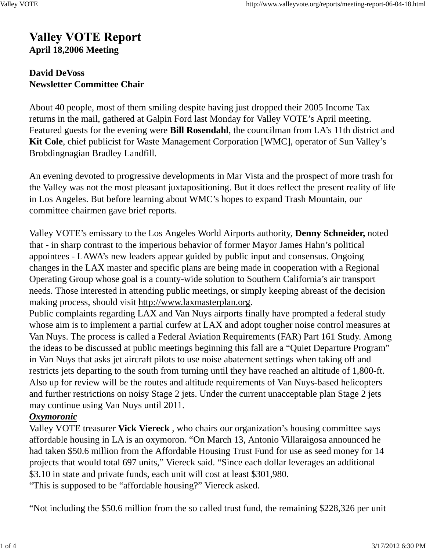# **Valley VOTE Report April 18,2006 Meeting**

### **David DeVoss Newsletter Committee Chair**

About 40 people, most of them smiling despite having just dropped their 2005 Income Tax returns in the mail, gathered at Galpin Ford last Monday for Valley VOTE's April meeting. Featured guests for the evening were **Bill Rosendahl**, the councilman from LA's 11th district and **Kit Cole**, chief publicist for Waste Management Corporation [WMC], operator of Sun Valley's Brobdingnagian Bradley Landfill.

An evening devoted to progressive developments in Mar Vista and the prospect of more trash for the Valley was not the most pleasant juxtapositioning. But it does reflect the present reality of life in Los Angeles. But before learning about WMC's hopes to expand Trash Mountain, our committee chairmen gave brief reports.

Valley VOTE's emissary to the Los Angeles World Airports authority, **Denny Schneider,** noted that - in sharp contrast to the imperious behavior of former Mayor James Hahn's political appointees - LAWA's new leaders appear guided by public input and consensus. Ongoing changes in the LAX master and specific plans are being made in cooperation with a Regional Operating Group whose goal is a county-wide solution to Southern California's air transport needs. Those interested in attending public meetings, or simply keeping abreast of the decision making process, should visit http://www.laxmasterplan.org.

Public complaints regarding LAX and Van Nuys airports finally have prompted a federal study whose aim is to implement a partial curfew at LAX and adopt tougher noise control measures at Van Nuys. The process is called a Federal Aviation Requirements (FAR) Part 161 Study. Among the ideas to be discussed at public meetings beginning this fall are a "Quiet Departure Program" in Van Nuys that asks jet aircraft pilots to use noise abatement settings when taking off and restricts jets departing to the south from turning until they have reached an altitude of 1,800-ft. Also up for review will be the routes and altitude requirements of Van Nuys-based helicopters and further restrictions on noisy Stage 2 jets. Under the current unacceptable plan Stage 2 jets may continue using Van Nuys until 2011.

## *Oxymoronic*

Valley VOTE treasurer **Vick Viereck** , who chairs our organization's housing committee says affordable housing in LA is an oxymoron. "On March 13, Antonio Villaraigosa announced he had taken \$50.6 million from the Affordable Housing Trust Fund for use as seed money for 14 projects that would total 697 units," Viereck said. "Since each dollar leverages an additional \$3.10 in state and private funds, each unit will cost at least \$301,980.

"This is supposed to be "affordable housing?" Viereck asked.

"Not including the \$50.6 million from the so called trust fund, the remaining \$228,326 per unit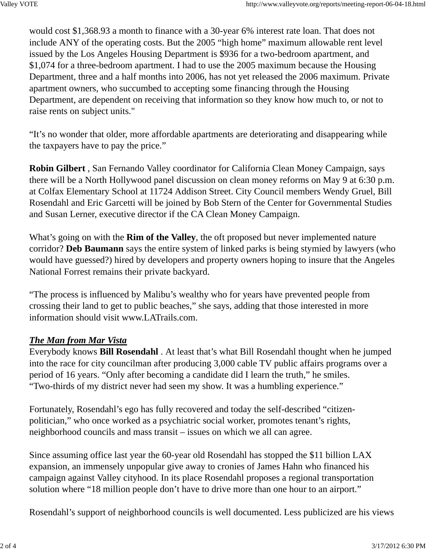would cost \$1,368.93 a month to finance with a 30-year 6% interest rate loan. That does not include ANY of the operating costs. But the 2005 "high home" maximum allowable rent level issued by the Los Angeles Housing Department is \$936 for a two-bedroom apartment, and \$1,074 for a three-bedroom apartment. I had to use the 2005 maximum because the Housing Department, three and a half months into 2006, has not yet released the 2006 maximum. Private apartment owners, who succumbed to accepting some financing through the Housing Department, are dependent on receiving that information so they know how much to, or not to raise rents on subject units."

"It's no wonder that older, more affordable apartments are deteriorating and disappearing while the taxpayers have to pay the price."

**Robin Gilbert** , San Fernando Valley coordinator for California Clean Money Campaign, says there will be a North Hollywood panel discussion on clean money reforms on May 9 at 6:30 p.m. at Colfax Elementary School at 11724 Addison Street. City Council members Wendy Gruel, Bill Rosendahl and Eric Garcetti will be joined by Bob Stern of the Center for Governmental Studies and Susan Lerner, executive director if the CA Clean Money Campaign.

What's going on with the **Rim of the Valley**, the oft proposed but never implemented nature corridor? **Deb Baumann** says the entire system of linked parks is being stymied by lawyers (who would have guessed?) hired by developers and property owners hoping to insure that the Angeles National Forrest remains their private backyard.

"The process is influenced by Malibu's wealthy who for years have prevented people from crossing their land to get to public beaches," she says, adding that those interested in more information should visit www.LATrails.com.

## *The Man from Mar Vista*

Everybody knows **Bill Rosendahl** . At least that's what Bill Rosendahl thought when he jumped into the race for city councilman after producing 3,000 cable TV public affairs programs over a period of 16 years. "Only after becoming a candidate did I learn the truth," he smiles. "Two-thirds of my district never had seen my show. It was a humbling experience."

Fortunately, Rosendahl's ego has fully recovered and today the self-described "citizenpolitician," who once worked as a psychiatric social worker, promotes tenant's rights, neighborhood councils and mass transit – issues on which we all can agree.

Since assuming office last year the 60-year old Rosendahl has stopped the \$11 billion LAX expansion, an immensely unpopular give away to cronies of James Hahn who financed his campaign against Valley cityhood. In its place Rosendahl proposes a regional transportation solution where "18 million people don't have to drive more than one hour to an airport."

Rosendahl's support of neighborhood councils is well documented. Less publicized are his views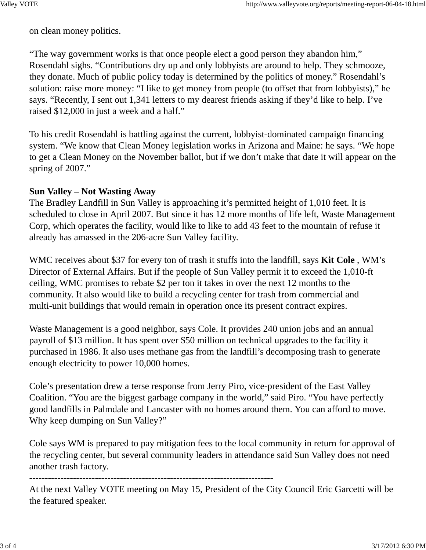on clean money politics.

"The way government works is that once people elect a good person they abandon him," Rosendahl sighs. "Contributions dry up and only lobbyists are around to help. They schmooze, they donate. Much of public policy today is determined by the politics of money." Rosendahl's solution: raise more money: "I like to get money from people (to offset that from lobbyists)," he says. "Recently, I sent out 1,341 letters to my dearest friends asking if they'd like to help. I've raised \$12,000 in just a week and a half."

To his credit Rosendahl is battling against the current, lobbyist-dominated campaign financing system. "We know that Clean Money legislation works in Arizona and Maine: he says. "We hope to get a Clean Money on the November ballot, but if we don't make that date it will appear on the spring of 2007."

#### **Sun Valley – Not Wasting Away**

The Bradley Landfill in Sun Valley is approaching it's permitted height of 1,010 feet. It is scheduled to close in April 2007. But since it has 12 more months of life left, Waste Management Corp, which operates the facility, would like to like to add 43 feet to the mountain of refuse it already has amassed in the 206-acre Sun Valley facility.

WMC receives about \$37 for every ton of trash it stuffs into the landfill, says **Kit Cole** , WM's Director of External Affairs. But if the people of Sun Valley permit it to exceed the 1,010-ft ceiling, WMC promises to rebate \$2 per ton it takes in over the next 12 months to the community. It also would like to build a recycling center for trash from commercial and multi-unit buildings that would remain in operation once its present contract expires.

Waste Management is a good neighbor, says Cole. It provides 240 union jobs and an annual payroll of \$13 million. It has spent over \$50 million on technical upgrades to the facility it purchased in 1986. It also uses methane gas from the landfill's decomposing trash to generate enough electricity to power 10,000 homes.

Cole's presentation drew a terse response from Jerry Piro, vice-president of the East Valley Coalition. "You are the biggest garbage company in the world," said Piro. "You have perfectly good landfills in Palmdale and Lancaster with no homes around them. You can afford to move. Why keep dumping on Sun Valley?"

Cole says WM is prepared to pay mitigation fees to the local community in return for approval of the recycling center, but several community leaders in attendance said Sun Valley does not need another trash factory.

------------------------------------------------------------------------------

At the next Valley VOTE meeting on May 15, President of the City Council Eric Garcetti will be the featured speaker.